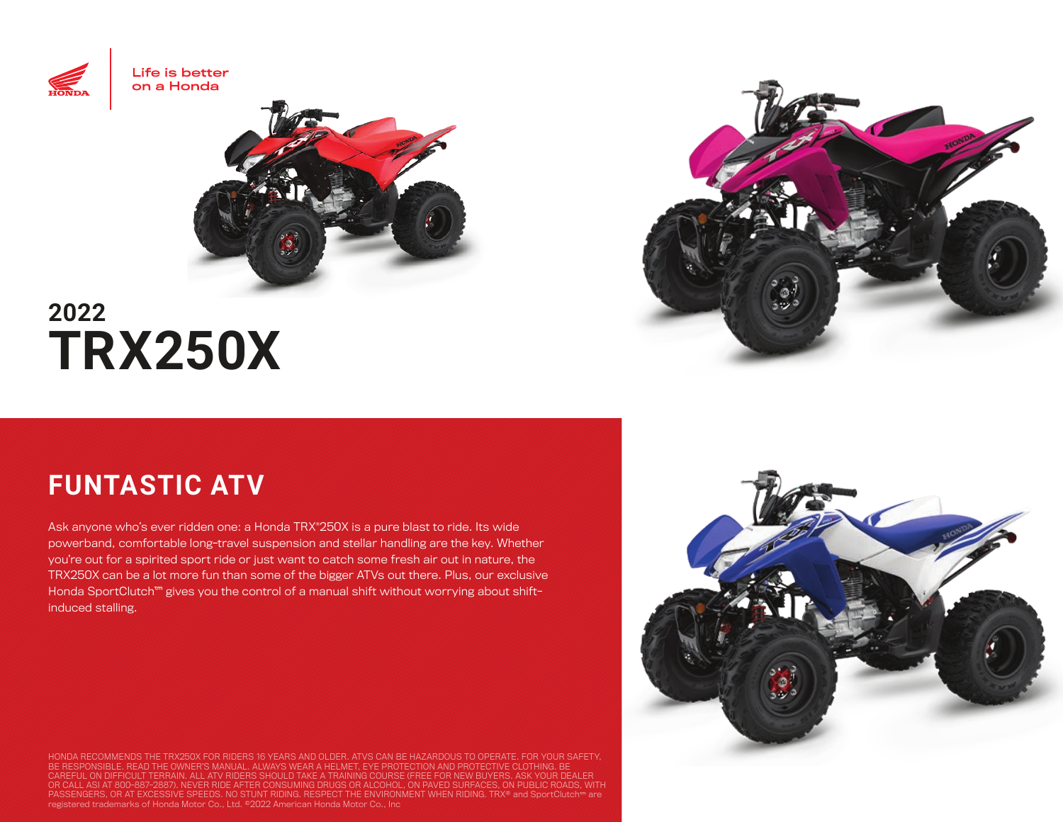



## **2022 TRX250X**

## **FUNTASTIC ATV**

Ask anyone who's ever ridden one: a Honda TRX®250X is a pure blast to ride. Its wide powerband, comfortable long-travel suspension and stellar handling are the key. Whether you're out for a spirited sport ride or just want to catch some fresh air out in nature, the TRX250X can be a lot more fun than some of the bigger ATVs out there. Plus, our exclusive Honda SportClutch™ gives you the control of a manual shift without worrying about shiftinduced stalling.

HONDA RECOMMENDS THE TRX250X FOR RIDERS 16 YEARS AND OLDER. ATVS CAN BE HAZARDOUS TO OPERATE. FOR YOUR SAFETY,<br>BE RESPONSIBLE. READ THE OWNER'S MANUAL. ALWAYS WEAR A HELMET, EYE PROTECTION AND PROTECTIVE CLOTHING. BE<br>CAREF PASSENGERS, OR AT EXCESSIVE SPEEDS. NO STUNT RIDING. RESPECT THE ENVIRONMENT WHEN RIDING. TRX® and SportClutch™ are<br>registered trademarks of Honda Motor Co., Ltd. ©2022 American Honda Motor Co., Inc